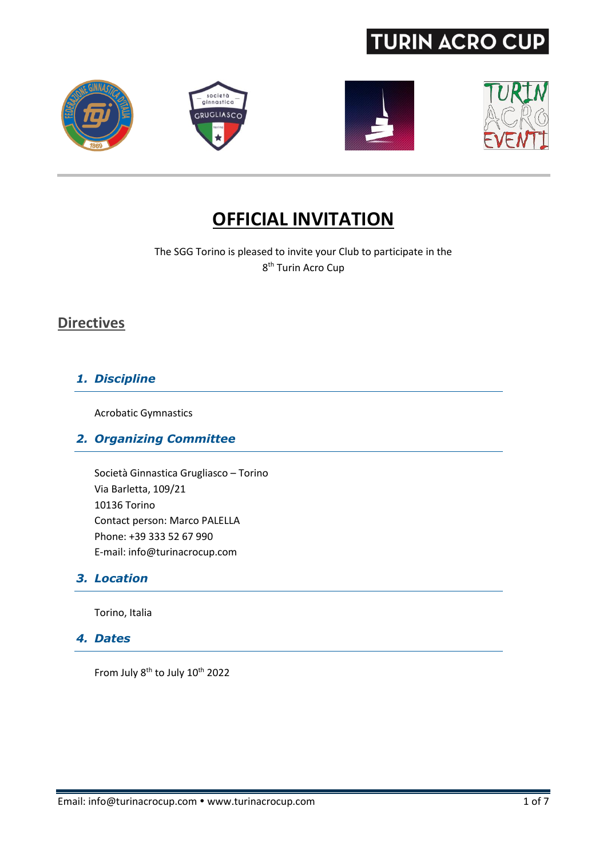







## **OFFICIAL INVITATION**

The SGG Torino is pleased to invite your Club to participate in the 8<sup>th</sup> Turin Acro Cup

### **Directives**

### *1. Discipline*

Acrobatic Gymnastics

### *2. Organizing Committee*

Società Ginnastica Grugliasco – Torino Via Barletta, 109/21 10136 Torino Contact person: Marco PALELLA Phone: +39 333 52 67 990 E-mail: info@turinacrocup.com

### *3. Location*

Torino, Italia

#### *4. Dates*

From July 8<sup>th</sup> to July 10<sup>th</sup> 2022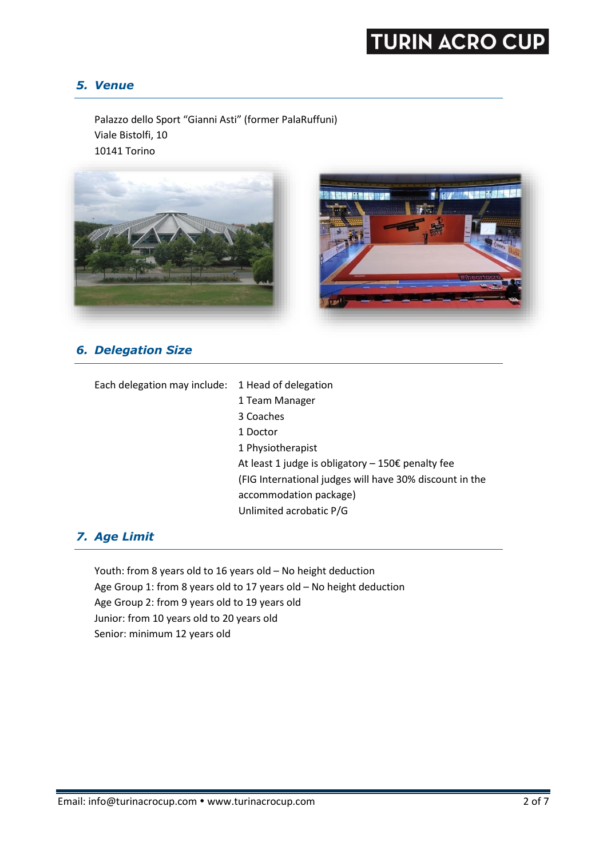#### *5. Venue*

Palazzo dello Sport "Gianni Asti" (former PalaRuffuni) Viale Bistolfi, 10 10141 Torino



### *6. Delegation Size*

| Each delegation may include: | 1 Head of delegation                                    |
|------------------------------|---------------------------------------------------------|
|                              | 1 Team Manager                                          |
|                              | 3 Coaches                                               |
|                              | 1 Doctor                                                |
|                              | 1 Physiotherapist                                       |
|                              | At least 1 judge is obligatory $-150€$ penalty fee      |
|                              | (FIG International judges will have 30% discount in the |
|                              | accommodation package)                                  |
|                              | Unlimited acrobatic P/G                                 |

### *7. Age Limit*

Youth: from 8 years old to 16 years old – No height deduction Age Group 1: from 8 years old to 17 years old – No height deduction Age Group 2: from 9 years old to 19 years old Junior: from 10 years old to 20 years old Senior: minimum 12 years old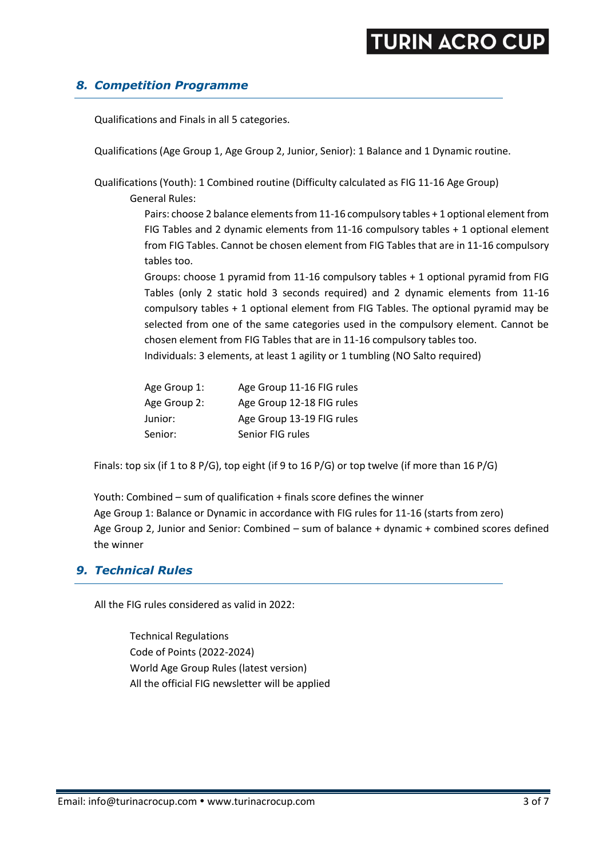#### *8. Competition Programme*

Qualifications and Finals in all 5 categories.

Qualifications (Age Group 1, Age Group 2, Junior, Senior): 1 Balance and 1 Dynamic routine.

Qualifications (Youth): 1 Combined routine (Difficulty calculated as FIG 11-16 Age Group)

General Rules:

Pairs: choose 2 balance elements from 11-16 compulsory tables + 1 optional element from FIG Tables and 2 dynamic elements from 11-16 compulsory tables + 1 optional element from FIG Tables. Cannot be chosen element from FIG Tables that are in 11-16 compulsory tables too.

Groups: choose 1 pyramid from 11-16 compulsory tables + 1 optional pyramid from FIG Tables (only 2 static hold 3 seconds required) and 2 dynamic elements from 11-16 compulsory tables + 1 optional element from FIG Tables. The optional pyramid may be selected from one of the same categories used in the compulsory element. Cannot be chosen element from FIG Tables that are in 11-16 compulsory tables too. Individuals: 3 elements, at least 1 agility or 1 tumbling (NO Salto required)

| Age Group 1: | Age Group 11-16 FIG rules |
|--------------|---------------------------|
| Age Group 2: | Age Group 12-18 FIG rules |
| Junior:      | Age Group 13-19 FIG rules |
| Senior:      | Senior FIG rules          |

Finals: top six (if 1 to 8 P/G), top eight (if 9 to 16 P/G) or top twelve (if more than 16 P/G)

Youth: Combined – sum of qualification + finals score defines the winner Age Group 1: Balance or Dynamic in accordance with FIG rules for 11-16 (starts from zero) Age Group 2, Junior and Senior: Combined – sum of balance + dynamic + combined scores defined the winner

#### *9. Technical Rules*

All the FIG rules considered as valid in 2022:

Technical Regulations Code of Points (2022-2024) World Age Group Rules (latest version) All the official FIG newsletter will be applied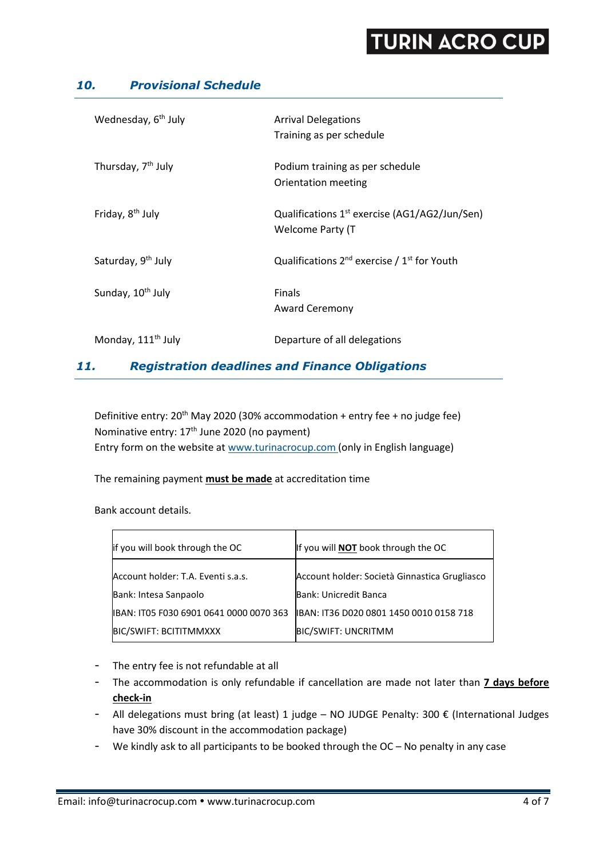#### *10. Provisional Schedule*

| Wednesday, 6 <sup>th</sup> July | <b>Arrival Delegations</b><br>Training as per schedule                        |
|---------------------------------|-------------------------------------------------------------------------------|
| Thursday, 7 <sup>th</sup> July  | Podium training as per schedule<br>Orientation meeting                        |
| Friday, 8 <sup>th</sup> July    | Qualifications $1^{st}$ exercise (AG1/AG2/Jun/Sen)<br><b>Welcome Party (T</b> |
| Saturday, 9 <sup>th</sup> July  | Qualifications $2^{nd}$ exercise / $1^{st}$ for Youth                         |
| Sunday, 10 <sup>th</sup> July   | <b>Finals</b><br><b>Award Ceremony</b>                                        |
| Monday, 111 <sup>th</sup> July  | Departure of all delegations                                                  |

### *11. Registration deadlines and Finance Obligations*

Definitive entry:  $20<sup>th</sup>$  May 2020 (30% accommodation + entry fee + no judge fee) Nominative entry: 17<sup>th</sup> June 2020 (no payment) Entry form on the website a[t www.turinacrocup.com](file:///C:/Users/s8n666/Dropbox/Turin%20Acro%20Cup%202015/www.turinacrocup.com) (only in English language)

The remaining payment **must be made** at accreditation time

Bank account details.

| lif you will book through the OC        | If you will <b>NOT</b> book through the OC    |
|-----------------------------------------|-----------------------------------------------|
| Account holder: T.A. Eventi s.a.s.      | Account holder: Società Ginnastica Grugliasco |
| Bank: Intesa Sanpaolo                   | Bank: Unicredit Banca                         |
| IBAN: IT05 F030 6901 0641 0000 0070 363 | IBAN: IT36 D020 0801 1450 0010 0158 718       |
| <b>BIC/SWIFT: BCITITMMXXX</b>           | <b>BIC/SWIFT: UNCRITMM</b>                    |
|                                         |                                               |

- The entry fee is not refundable at all
- The accommodation is only refundable if cancellation are made not later than **7 days before check-in**
- All delegations must bring (at least) 1 judge NO JUDGE Penalty: 300  $\epsilon$  (International Judges have 30% discount in the accommodation package)
- We kindly ask to all participants to be booked through the OC No penalty in any case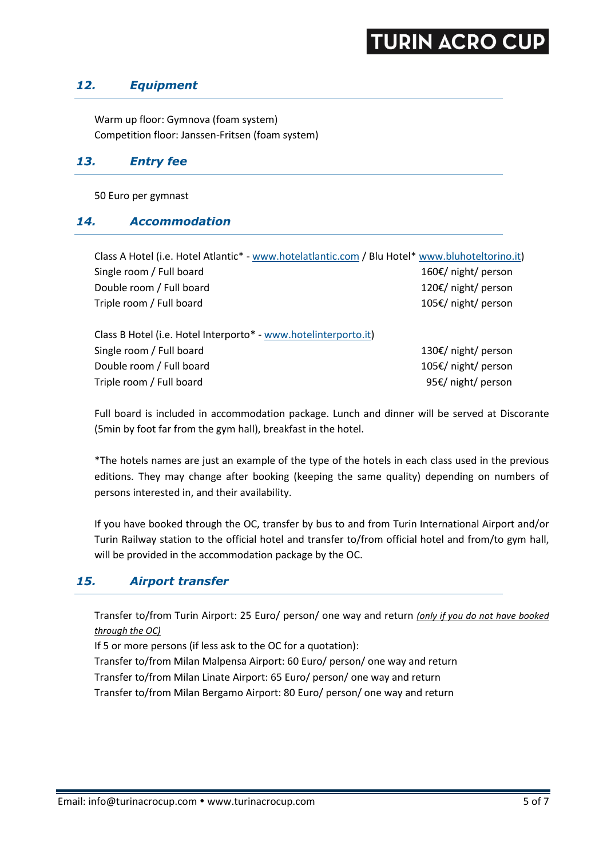#### *12. Equipment*

Warm up floor: Gymnova (foam system) Competition floor: Janssen-Fritsen (foam system)

#### *13. Entry fee*

50 Euro per gymnast

#### *14. Accommodation*

| Class A Hotel (i.e. Hotel Atlantic* - www.hotelatlantic.com / Blu Hotel* www.bluhoteltorino.it) |                     |
|-------------------------------------------------------------------------------------------------|---------------------|
| Single room / Full board                                                                        | 160€/ night/ person |
| Double room / Full board                                                                        | 120€/ night/ person |
| Triple room / Full board                                                                        | 105€/ night/ person |
|                                                                                                 |                     |
| Class B Hotel (i.e. Hotel Interporto* - www.hotelinterporto.it)                                 |                     |
| Single room / Full board                                                                        | 130€/ night/ person |
| Double room / Full board                                                                        | 105€/ night/ person |
| Triple room / Full board                                                                        | 95€/ night/ person  |
|                                                                                                 |                     |

Full board is included in accommodation package. Lunch and dinner will be served at Discorante (5min by foot far from the gym hall), breakfast in the hotel.

\*The hotels names are just an example of the type of the hotels in each class used in the previous editions. They may change after booking (keeping the same quality) depending on numbers of persons interested in, and their availability.

If you have booked through the OC, transfer by bus to and from Turin International Airport and/or Turin Railway station to the official hotel and transfer to/from official hotel and from/to gym hall, will be provided in the accommodation package by the OC.

#### *15. Airport transfer*

Transfer to/from Turin Airport: 25 Euro/ person/ one way and return *(only if you do not have booked through the OC)*

If 5 or more persons (if less ask to the OC for a quotation):

Transfer to/from Milan Malpensa Airport: 60 Euro/ person/ one way and return Transfer to/from Milan Linate Airport: 65 Euro/ person/ one way and return Transfer to/from Milan Bergamo Airport: 80 Euro/ person/ one way and return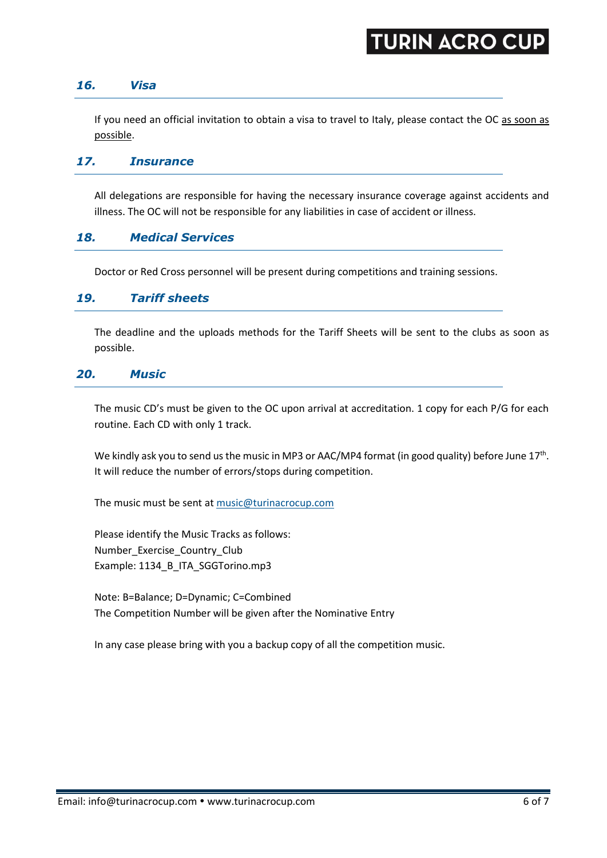#### *16. Visa*

If you need an official invitation to obtain a visa to travel to Italy, please contact the OC as soon as possible.

#### *17. Insurance*

All delegations are responsible for having the necessary insurance coverage against accidents and illness. The OC will not be responsible for any liabilities in case of accident or illness.

#### *18. Medical Services*

Doctor or Red Cross personnel will be present during competitions and training sessions.

#### *19. Tariff sheets*

The deadline and the uploads methods for the Tariff Sheets will be sent to the clubs as soon as possible.

#### *20. Music*

The music CD's must be given to the OC upon arrival at accreditation. 1 copy for each P/G for each routine. Each CD with only 1 track.

We kindly ask you to send us the music in MP3 or AAC/MP4 format (in good quality) before June 17<sup>th</sup>. It will reduce the number of errors/stops during competition.

The music must be sent at [music@turinacrocup.com](mailto:music@turinacrocup.com)

Please identify the Music Tracks as follows: Number\_Exercise\_Country\_Club Example: 1134\_B\_ITA\_SGGTorino.mp3

Note: B=Balance; D=Dynamic; C=Combined The Competition Number will be given after the Nominative Entry

In any case please bring with you a backup copy of all the competition music.